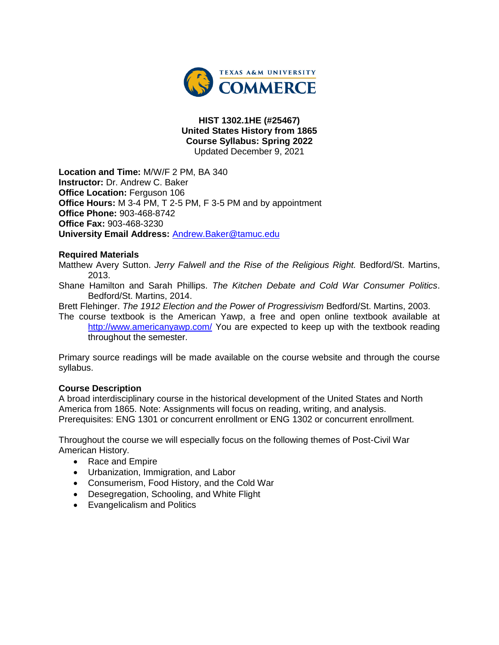

**HIST 1302.1HE (#25467) United States History from 1865 Course Syllabus: Spring 2022** Updated December 9, 2021

**Location and Time:** M/W/F 2 PM, BA 340 **Instructor:** Dr. Andrew C. Baker **Office Location:** Ferguson 106 **Office Hours:** M 3-4 PM, T 2-5 PM, F 3-5 PM and by appointment **Office Phone:** 903-468-8742 **Office Fax:** 903-468-3230 **University Email Address:** [Andrew.Baker@tamuc.edu](mailto:Andrew.Baker@tamuc.edu)

# **Required Materials**

Matthew Avery Sutton. *Jerry Falwell and the Rise of the Religious Right.* Bedford/St. Martins, 2013.

Shane Hamilton and Sarah Phillips. *The Kitchen Debate and Cold War Consumer Politics*. Bedford/St. Martins, 2014.

Brett Flehinger. *The 1912 Election and the Power of Progressivism* Bedford/St. Martins, 2003.

The course textbook is the American Yawp, a free and open online textbook available at <http://www.americanyawp.com/> You are expected to keep up with the textbook reading throughout the semester.

Primary source readings will be made available on the course website and through the course syllabus.

# **Course Description**

A broad interdisciplinary course in the historical development of the United States and North America from 1865. Note: Assignments will focus on reading, writing, and analysis. Prerequisites: ENG 1301 or concurrent enrollment or ENG 1302 or concurrent enrollment.

Throughout the course we will especially focus on the following themes of Post-Civil War American History.

- Race and Empire
- Urbanization, Immigration, and Labor
- Consumerism, Food History, and the Cold War
- Desegregation, Schooling, and White Flight
- Evangelicalism and Politics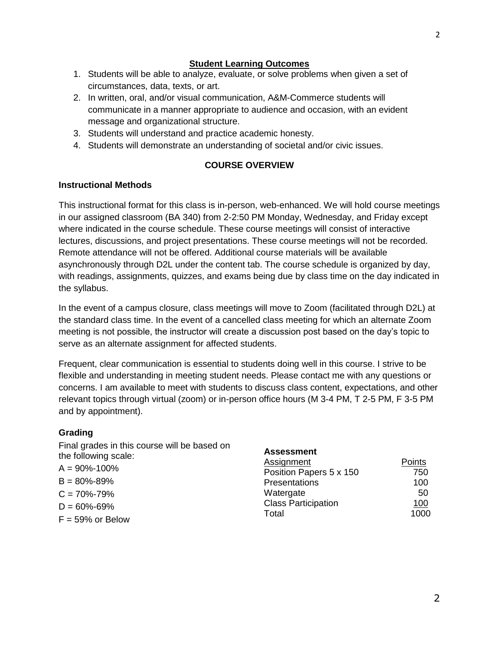# **Student Learning Outcomes**

- 1. Students will be able to analyze, evaluate, or solve problems when given a set of circumstances, data, texts, or art.
- 2. In written, oral, and/or visual communication, A&M-Commerce students will communicate in a manner appropriate to audience and occasion, with an evident message and organizational structure.
- 3. Students will understand and practice academic honesty.
- 4. Students will demonstrate an understanding of societal and/or civic issues.

# **COURSE OVERVIEW**

# **Instructional Methods**

This instructional format for this class is in-person, web-enhanced. We will hold course meetings in our assigned classroom (BA 340) from 2-2:50 PM Monday, Wednesday, and Friday except where indicated in the course schedule. These course meetings will consist of interactive lectures, discussions, and project presentations. These course meetings will not be recorded. Remote attendance will not be offered. Additional course materials will be available asynchronously through D2L under the content tab. The course schedule is organized by day, with readings, assignments, quizzes, and exams being due by class time on the day indicated in the syllabus.

In the event of a campus closure, class meetings will move to Zoom (facilitated through D2L) at the standard class time. In the event of a cancelled class meeting for which an alternate Zoom meeting is not possible, the instructor will create a discussion post based on the day's topic to serve as an alternate assignment for affected students.

Frequent, clear communication is essential to students doing well in this course. I strive to be flexible and understanding in meeting student needs. Please contact me with any questions or concerns. I am available to meet with students to discuss class content, expectations, and other relevant topics through virtual (zoom) or in-person office hours (M 3-4 PM, T 2-5 PM, F 3-5 PM and by appointment).

### **Grading**

Final grades in this course will be based on the following scale:

| $A = 90\% - 100\%$ |  |
|--------------------|--|
|--------------------|--|

- $B = 80\% 89\%$
- $C = 70\% 79\%$
- $D = 60\% 69\%$
- $F = 59%$  or Below

#### **Assessment**

| Assignment                 | Points |
|----------------------------|--------|
| Position Papers 5 x 150    | 750    |
| Presentations              | 100    |
| Watergate                  | 50     |
| <b>Class Participation</b> | 100    |
| Total                      | 1000   |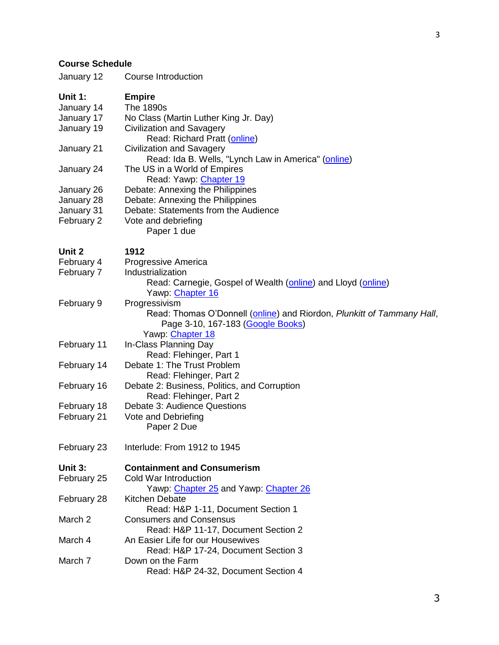# **Course Schedule**

| January 12  | Course Introduction                                                                                                             |
|-------------|---------------------------------------------------------------------------------------------------------------------------------|
| Unit 1:     | <b>Empire</b>                                                                                                                   |
| January 14  | <b>The 1890s</b>                                                                                                                |
| January 17  | No Class (Martin Luther King Jr. Day)                                                                                           |
| January 19  | Civilization and Savagery<br>Read: Richard Pratt (online)                                                                       |
| January 21  | Civilization and Savagery<br>Read: Ida B. Wells, "Lynch Law in America" (online)                                                |
| January 24  | The US in a World of Empires<br>Read: Yawp: Chapter 19                                                                          |
| January 26  | Debate: Annexing the Philippines                                                                                                |
| January 28  | Debate: Annexing the Philippines                                                                                                |
| January 31  | Debate: Statements from the Audience                                                                                            |
| February 2  | Vote and debriefing<br>Paper 1 due                                                                                              |
| Unit 2      | 1912                                                                                                                            |
| February 4  | Progressive America                                                                                                             |
| February 7  | Industrialization                                                                                                               |
|             | Read: Carnegie, Gospel of Wealth (online) and Lloyd (online)<br>Yawp: Chapter 16                                                |
| February 9  | Progressivism                                                                                                                   |
|             | Read: Thomas O'Donnell (online) and Riordon, Plunkitt of Tammany Hall,<br>Page 3-10, 167-183 (Google Books)<br>Yawp: Chapter 18 |
| February 11 | In-Class Planning Day                                                                                                           |
|             | Read: Flehinger, Part 1                                                                                                         |
| February 14 | Debate 1: The Trust Problem                                                                                                     |
|             | Read: Flehinger, Part 2                                                                                                         |
| February 16 | Debate 2: Business, Politics, and Corruption                                                                                    |
|             | Read: Flehinger, Part 2                                                                                                         |
| February 18 | Debate 3: Audience Questions                                                                                                    |
| February 21 | Vote and Debriefing                                                                                                             |
|             | Paper 2 Due                                                                                                                     |
|             |                                                                                                                                 |
| February 23 | Interlude: From 1912 to 1945                                                                                                    |
| Unit 3:     | <b>Containment and Consumerism</b>                                                                                              |
| February 25 | Cold War Introduction                                                                                                           |
|             | Yawp: Chapter 25 and Yawp: Chapter 26                                                                                           |
| February 28 | <b>Kitchen Debate</b>                                                                                                           |
|             | Read: H&P 1-11, Document Section 1                                                                                              |
| March 2     | <b>Consumers and Consensus</b>                                                                                                  |
|             | Read: H&P 11-17, Document Section 2                                                                                             |
| March 4     | An Easier Life for our Housewives                                                                                               |
|             | Read: H&P 17-24, Document Section 3                                                                                             |
| March 7     | Down on the Farm                                                                                                                |
|             | Read: H&P 24-32, Document Section 4                                                                                             |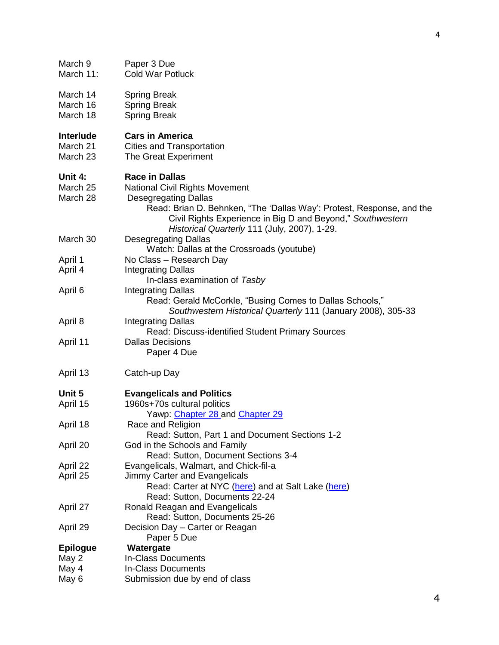| March 9<br>March 11: | Paper 3 Due<br><b>Cold War Potluck</b>                                                                                                                                                                             |
|----------------------|--------------------------------------------------------------------------------------------------------------------------------------------------------------------------------------------------------------------|
| March 14             | <b>Spring Break</b>                                                                                                                                                                                                |
| March 16             | <b>Spring Break</b>                                                                                                                                                                                                |
| March 18             | <b>Spring Break</b>                                                                                                                                                                                                |
| Interlude            | <b>Cars in America</b>                                                                                                                                                                                             |
| March 21             | Cities and Transportation                                                                                                                                                                                          |
| March 23             | The Great Experiment                                                                                                                                                                                               |
| Unit 4:              | <b>Race in Dallas</b>                                                                                                                                                                                              |
| March 25             | <b>National Civil Rights Movement</b>                                                                                                                                                                              |
| March 28             | <b>Desegregating Dallas</b><br>Read: Brian D. Behnken, "The 'Dallas Way': Protest, Response, and the<br>Civil Rights Experience in Big D and Beyond," Southwestern<br>Historical Quarterly 111 (July, 2007), 1-29. |
| March 30             | <b>Desegregating Dallas</b><br>Watch: Dallas at the Crossroads (youtube)                                                                                                                                           |
| April 1              | No Class – Research Day                                                                                                                                                                                            |
| April 4              | <b>Integrating Dallas</b><br>In-class examination of Tasby                                                                                                                                                         |
| April 6              | <b>Integrating Dallas</b><br>Read: Gerald McCorkle, "Busing Comes to Dallas Schools,"<br>Southwestern Historical Quarterly 111 (January 2008), 305-33                                                              |
| April 8              | <b>Integrating Dallas</b><br>Read: Discuss-identified Student Primary Sources                                                                                                                                      |
| April 11             | <b>Dallas Decisions</b><br>Paper 4 Due                                                                                                                                                                             |
| April 13             | Catch-up Day                                                                                                                                                                                                       |
| Unit 5               | <b>Evangelicals and Politics</b>                                                                                                                                                                                   |
| April 15             | 1960s+70s cultural politics<br>Yawp: Chapter 28 and Chapter 29                                                                                                                                                     |
| April 18             | Race and Religion<br>Read: Sutton, Part 1 and Document Sections 1-2                                                                                                                                                |
| April 20             | God in the Schools and Family<br>Read: Sutton, Document Sections 3-4                                                                                                                                               |
| April 22             | Evangelicals, Walmart, and Chick-fil-a                                                                                                                                                                             |
| April 25             | Jimmy Carter and Evangelicals<br>Read: Carter at NYC (here) and at Salt Lake (here)<br>Read: Sutton, Documents 22-24                                                                                               |
| April 27             | Ronald Reagan and Evangelicals<br>Read: Sutton, Documents 25-26                                                                                                                                                    |
| April 29             | Decision Day - Carter or Reagan<br>Paper 5 Due                                                                                                                                                                     |
| <b>Epilogue</b>      | Watergate                                                                                                                                                                                                          |
| May 2                | <b>In-Class Documents</b>                                                                                                                                                                                          |
| May 4                | In-Class Documents                                                                                                                                                                                                 |
| May 6                | Submission due by end of class                                                                                                                                                                                     |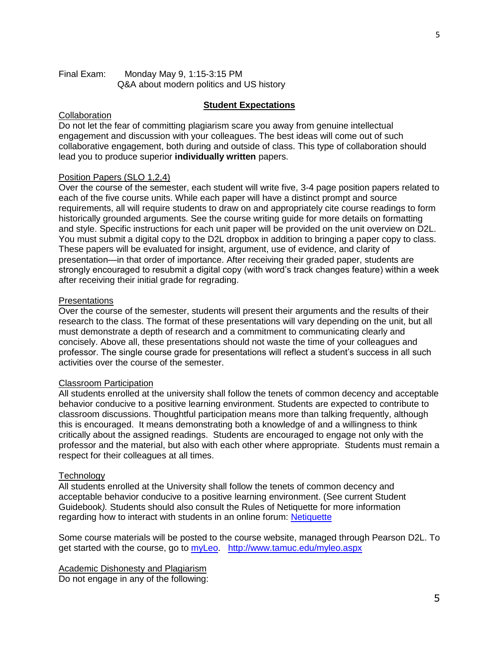#### **Student Expectations**

#### **Collaboration**

Do not let the fear of committing plagiarism scare you away from genuine intellectual engagement and discussion with your colleagues. The best ideas will come out of such collaborative engagement, both during and outside of class. This type of collaboration should lead you to produce superior **individually written** papers.

#### Position Papers (SLO 1,2,4)

Over the course of the semester, each student will write five, 3-4 page position papers related to each of the five course units. While each paper will have a distinct prompt and source requirements, all will require students to draw on and appropriately cite course readings to form historically grounded arguments. See the course writing guide for more details on formatting and style. Specific instructions for each unit paper will be provided on the unit overview on D2L. You must submit a digital copy to the D2L dropbox in addition to bringing a paper copy to class. These papers will be evaluated for insight, argument, use of evidence, and clarity of presentation—in that order of importance. After receiving their graded paper, students are strongly encouraged to resubmit a digital copy (with word's track changes feature) within a week after receiving their initial grade for regrading.

#### **Presentations**

Over the course of the semester, students will present their arguments and the results of their research to the class. The format of these presentations will vary depending on the unit, but all must demonstrate a depth of research and a commitment to communicating clearly and concisely. Above all, these presentations should not waste the time of your colleagues and professor. The single course grade for presentations will reflect a student's success in all such activities over the course of the semester.

#### Classroom Participation

All students enrolled at the university shall follow the tenets of common decency and acceptable behavior conducive to a positive learning environment. Students are expected to contribute to classroom discussions. Thoughtful participation means more than talking frequently, although this is encouraged. It means demonstrating both a knowledge of and a willingness to think critically about the assigned readings. Students are encouraged to engage not only with the professor and the material, but also with each other where appropriate. Students must remain a respect for their colleagues at all times.

#### **Technology**

All students enrolled at the University shall follow the tenets of common decency and acceptable behavior conducive to a positive learning environment. (See current Student Guidebook*).* Students should also consult the Rules of Netiquette for more information regarding how to interact with students in an online forum: [Netiquette](http://www.albion.com/netiquette/corerules.html)

Some course materials will be posted to the course website, managed through Pearson D2L. To get started with the course, go to [myLeo.](http://www.tamuc.edu/myleo.aspx) <http://www.tamuc.edu/myleo.aspx>

Academic Dishonesty and Plagiarism

Do not engage in any of the following: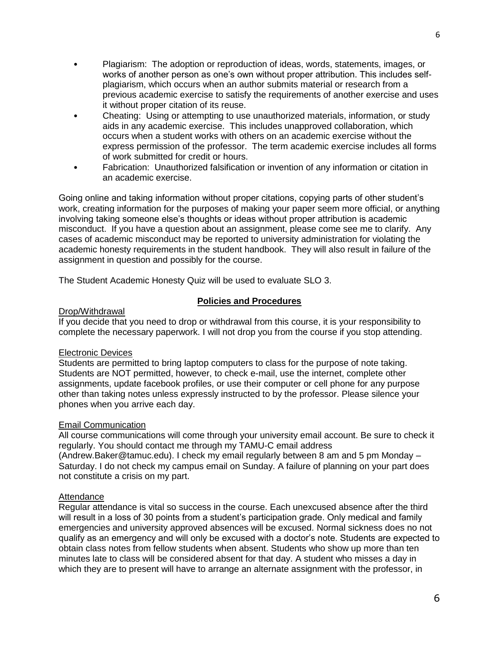- Plagiarism: The adoption or reproduction of ideas, words, statements, images, or works of another person as one's own without proper attribution. This includes selfplagiarism, which occurs when an author submits material or research from a previous academic exercise to satisfy the requirements of another exercise and uses it without proper citation of its reuse.
- Cheating: Using or attempting to use unauthorized materials, information, or study aids in any academic exercise. This includes unapproved collaboration, which occurs when a student works with others on an academic exercise without the express permission of the professor. The term academic exercise includes all forms of work submitted for credit or hours.
- Fabrication: Unauthorized falsification or invention of any information or citation in an academic exercise.

Going online and taking information without proper citations, copying parts of other student's work, creating information for the purposes of making your paper seem more official, or anything involving taking someone else's thoughts or ideas without proper attribution is academic misconduct. If you have a question about an assignment, please come see me to clarify. Any cases of academic misconduct may be reported to university administration for violating the academic honesty requirements in the student handbook. They will also result in failure of the assignment in question and possibly for the course.

The Student Academic Honesty Quiz will be used to evaluate SLO 3.

# **Policies and Procedures**

# Drop/Withdrawal

If you decide that you need to drop or withdrawal from this course, it is your responsibility to complete the necessary paperwork. I will not drop you from the course if you stop attending.

# Electronic Devices

Students are permitted to bring laptop computers to class for the purpose of note taking. Students are NOT permitted, however, to check e-mail, use the internet, complete other assignments, update facebook profiles, or use their computer or cell phone for any purpose other than taking notes unless expressly instructed to by the professor. Please silence your phones when you arrive each day.

# Email Communication

All course communications will come through your university email account. Be sure to check it regularly. You should contact me through my TAMU-C email address (Andrew.Baker@tamuc.edu). I check my email regularly between 8 am and 5 pm Monday – Saturday. I do not check my campus email on Sunday. A failure of planning on your part does not constitute a crisis on my part.

# Attendance

Regular attendance is vital so success in the course. Each unexcused absence after the third will result in a loss of 30 points from a student's participation grade. Only medical and family emergencies and university approved absences will be excused. Normal sickness does no not qualify as an emergency and will only be excused with a doctor's note. Students are expected to obtain class notes from fellow students when absent. Students who show up more than ten minutes late to class will be considered absent for that day. A student who misses a day in which they are to present will have to arrange an alternate assignment with the professor, in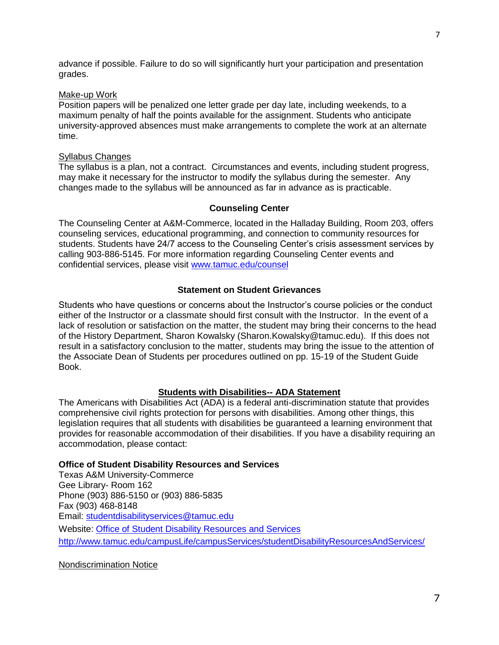advance if possible. Failure to do so will significantly hurt your participation and presentation grades.

# Make-up Work

Position papers will be penalized one letter grade per day late, including weekends, to a maximum penalty of half the points available for the assignment. Students who anticipate university-approved absences must make arrangements to complete the work at an alternate time.

# Syllabus Changes

The syllabus is a plan, not a contract. Circumstances and events, including student progress, may make it necessary for the instructor to modify the syllabus during the semester. Any changes made to the syllabus will be announced as far in advance as is practicable.

# **Counseling Center**

The Counseling Center at A&M-Commerce, located in the Halladay Building, Room 203, offers counseling services, educational programming, and connection to community resources for students. Students have 24/7 access to the Counseling Center's crisis assessment services by calling 903-886-5145. For more information regarding Counseling Center events and confidential services, please visit [www.tamuc.edu/counsel](http://www.tamuc.edu/counsel)

# **Statement on Student Grievances**

Students who have questions or concerns about the Instructor's course policies or the conduct either of the Instructor or a classmate should first consult with the Instructor. In the event of a lack of resolution or satisfaction on the matter, the student may bring their concerns to the head of the History Department, Sharon Kowalsky (Sharon.Kowalsky@tamuc.edu). If this does not result in a satisfactory conclusion to the matter, students may bring the issue to the attention of the Associate Dean of Students per procedures outlined on pp. 15-19 of the Student Guide Book.

# **Students with Disabilities-- ADA Statement**

The Americans with Disabilities Act (ADA) is a federal anti-discrimination statute that provides comprehensive civil rights protection for persons with disabilities. Among other things, this legislation requires that all students with disabilities be guaranteed a learning environment that provides for reasonable accommodation of their disabilities. If you have a disability requiring an accommodation, please contact:

# **Office of Student Disability Resources and Services**

Texas A&M University-Commerce Gee Library- Room 162 Phone (903) 886-5150 or (903) 886-5835 Fax (903) 468-8148 Email: [studentdisabilityservices@tamuc.edu](mailto:studentdisabilityservices@tamuc.edu) Website: [Office of Student Disability Resources and Services](http://www.tamuc.edu/campusLife/campusServices/studentDisabilityResourcesAndServices/) <http://www.tamuc.edu/campusLife/campusServices/studentDisabilityResourcesAndServices/>

Nondiscrimination Notice